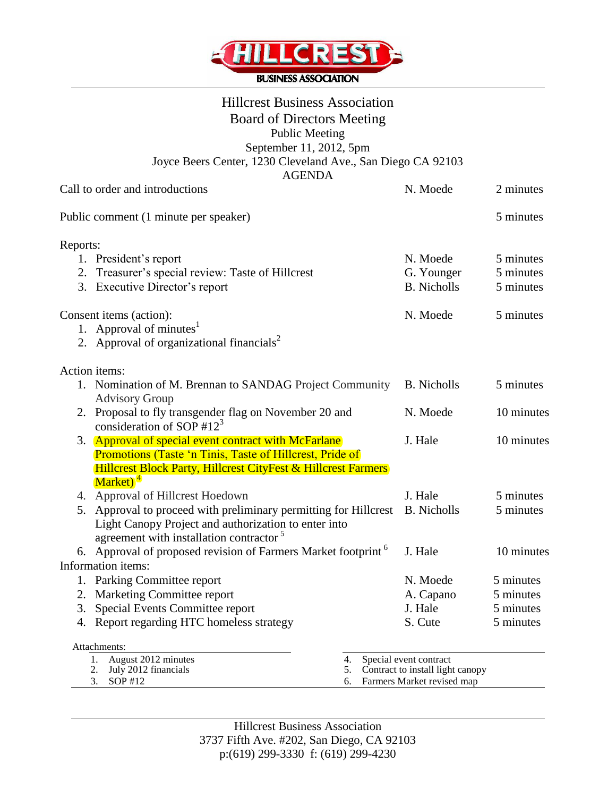

# Hillcrest Business Association Board of Directors Meeting Public Meeting September 11, 2012, 5pm Joyce Beers Center, 1230 Cleveland Ave., San Diego CA 92103

| <b>AGENDA</b>                                                                                    |                                                                |            |
|--------------------------------------------------------------------------------------------------|----------------------------------------------------------------|------------|
| Call to order and introductions                                                                  | N. Moede                                                       | 2 minutes  |
| Public comment (1 minute per speaker)                                                            |                                                                | 5 minutes  |
| Reports:                                                                                         |                                                                |            |
| 1. President's report                                                                            | N. Moede                                                       | 5 minutes  |
| 2. Treasurer's special review: Taste of Hillcrest                                                | G. Younger                                                     | 5 minutes  |
| 3. Executive Director's report                                                                   | <b>B.</b> Nicholls                                             | 5 minutes  |
| Consent items (action):                                                                          | N. Moede                                                       | 5 minutes  |
| 1. Approval of minutes $1$                                                                       |                                                                |            |
| 2. Approval of organizational financials <sup>2</sup>                                            |                                                                |            |
| Action items:                                                                                    |                                                                |            |
| 1. Nomination of M. Brennan to SANDAG Project Community                                          | <b>B.</b> Nicholls                                             | 5 minutes  |
| <b>Advisory Group</b>                                                                            |                                                                |            |
| 2. Proposal to fly transgender flag on November 20 and                                           | N. Moede                                                       | 10 minutes |
| consideration of SOP #12 <sup>3</sup>                                                            |                                                                |            |
| 3. Approval of special event contract with McFarlane                                             | J. Hale                                                        | 10 minutes |
| Promotions (Taste 'n Tinis, Taste of Hillcrest, Pride of                                         |                                                                |            |
| <b>Hillcrest Block Party, Hillcrest CityFest &amp; Hillcrest Farmers</b><br>Market) <sup>4</sup> |                                                                |            |
| 4. Approval of Hillcrest Hoedown                                                                 | J. Hale                                                        | 5 minutes  |
| 5. Approval to proceed with preliminary permitting for Hillcrest                                 | <b>B.</b> Nicholls                                             | 5 minutes  |
| Light Canopy Project and authorization to enter into                                             |                                                                |            |
| agreement with installation contractor <sup>5</sup>                                              |                                                                |            |
| 6. Approval of proposed revision of Farmers Market footprint <sup>6</sup>                        | J. Hale                                                        | 10 minutes |
| Information items:                                                                               |                                                                |            |
| 1. Parking Committee report                                                                      | N. Moede                                                       | 5 minutes  |
| 2. Marketing Committee report                                                                    | A. Capano                                                      | 5 minutes  |
| 3. Special Events Committee report                                                               | J. Hale                                                        | 5 minutes  |
| 4. Report regarding HTC homeless strategy                                                        | S. Cute                                                        | 5 minutes  |
| Attachments:                                                                                     |                                                                |            |
| 1. August 2012 minutes<br>4.                                                                     | Special event contract                                         |            |
| July 2012 financials<br>2.<br>5.<br>SOP #12<br>3.<br>6.                                          | Contract to install light canopy<br>Farmers Market revised map |            |
|                                                                                                  |                                                                |            |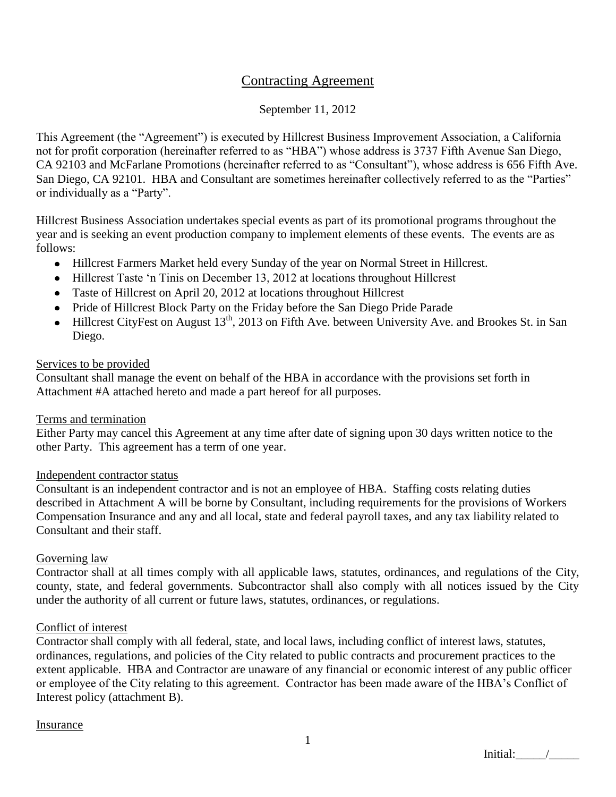## Contracting Agreement

## September 11, 2012

This Agreement (the "Agreement") is executed by Hillcrest Business Improvement Association, a California not for profit corporation (hereinafter referred to as "HBA") whose address is 3737 Fifth Avenue San Diego, CA 92103 and McFarlane Promotions (hereinafter referred to as "Consultant"), whose address is 656 Fifth Ave. San Diego, CA 92101. HBA and Consultant are sometimes hereinafter collectively referred to as the "Parties" or individually as a "Party".

Hillcrest Business Association undertakes special events as part of its promotional programs throughout the year and is seeking an event production company to implement elements of these events. The events are as follows:

- Hillcrest Farmers Market held every Sunday of the year on Normal Street in Hillcrest.
- Hillcrest Taste 'n Tinis on December 13, 2012 at locations throughout Hillcrest
- Taste of Hillcrest on April 20, 2012 at locations throughout Hillcrest
- Pride of Hillcrest Block Party on the Friday before the San Diego Pride Parade
- Hillcrest CityFest on August 13<sup>th</sup>, 2013 on Fifth Ave. between University Ave. and Brookes St. in San Diego.

## Services to be provided

Consultant shall manage the event on behalf of the HBA in accordance with the provisions set forth in Attachment #A attached hereto and made a part hereof for all purposes.

## Terms and termination

Either Party may cancel this Agreement at any time after date of signing upon 30 days written notice to the other Party. This agreement has a term of one year.

## Independent contractor status

Consultant is an independent contractor and is not an employee of HBA. Staffing costs relating duties described in Attachment A will be borne by Consultant, including requirements for the provisions of Workers Compensation Insurance and any and all local, state and federal payroll taxes, and any tax liability related to Consultant and their staff.

## Governing law

Contractor shall at all times comply with all applicable laws, statutes, ordinances, and regulations of the City, county, state, and federal governments. Subcontractor shall also comply with all notices issued by the City under the authority of all current or future laws, statutes, ordinances, or regulations.

## Conflict of interest

Contractor shall comply with all federal, state, and local laws, including conflict of interest laws, statutes, ordinances, regulations, and policies of the City related to public contracts and procurement practices to the extent applicable. HBA and Contractor are unaware of any financial or economic interest of any public officer or employee of the City relating to this agreement. Contractor has been made aware of the HBA"s Conflict of Interest policy (attachment B).

## Insurance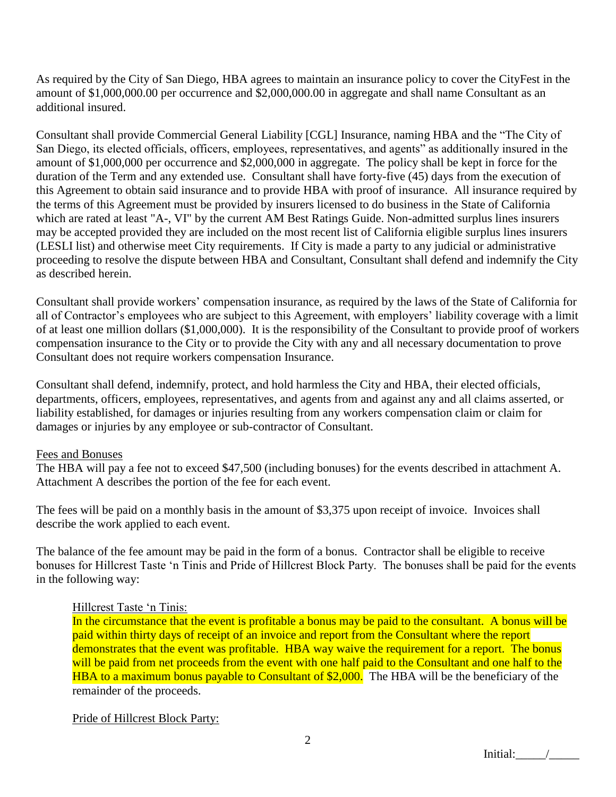As required by the City of San Diego, HBA agrees to maintain an insurance policy to cover the CityFest in the amount of \$1,000,000.00 per occurrence and \$2,000,000.00 in aggregate and shall name Consultant as an additional insured.

Consultant shall provide Commercial General Liability [CGL] Insurance, naming HBA and the "The City of San Diego, its elected officials, officers, employees, representatives, and agents" as additionally insured in the amount of \$1,000,000 per occurrence and \$2,000,000 in aggregate. The policy shall be kept in force for the duration of the Term and any extended use. Consultant shall have forty-five (45) days from the execution of this Agreement to obtain said insurance and to provide HBA with proof of insurance. All insurance required by the terms of this Agreement must be provided by insurers licensed to do business in the State of California which are rated at least "A-, VI" by the current AM Best Ratings Guide. Non-admitted surplus lines insurers may be accepted provided they are included on the most recent list of California eligible surplus lines insurers (LESLI list) and otherwise meet City requirements. If City is made a party to any judicial or administrative proceeding to resolve the dispute between HBA and Consultant, Consultant shall defend and indemnify the City as described herein.

Consultant shall provide workers" compensation insurance, as required by the laws of the State of California for all of Contractor's employees who are subject to this Agreement, with employers' liability coverage with a limit of at least one million dollars (\$1,000,000). It is the responsibility of the Consultant to provide proof of workers compensation insurance to the City or to provide the City with any and all necessary documentation to prove Consultant does not require workers compensation Insurance.

Consultant shall defend, indemnify, protect, and hold harmless the City and HBA, their elected officials, departments, officers, employees, representatives, and agents from and against any and all claims asserted, or liability established, for damages or injuries resulting from any workers compensation claim or claim for damages or injuries by any employee or sub-contractor of Consultant.

## Fees and Bonuses

The HBA will pay a fee not to exceed \$47,500 (including bonuses) for the events described in attachment A. Attachment A describes the portion of the fee for each event.

The fees will be paid on a monthly basis in the amount of \$3,375 upon receipt of invoice. Invoices shall describe the work applied to each event.

The balance of the fee amount may be paid in the form of a bonus. Contractor shall be eligible to receive bonuses for Hillcrest Taste "n Tinis and Pride of Hillcrest Block Party. The bonuses shall be paid for the events in the following way:

## Hillcrest Taste "n Tinis:

In the circumstance that the event is profitable a bonus may be paid to the consultant. A bonus will be paid within thirty days of receipt of an invoice and report from the Consultant where the report demonstrates that the event was profitable. HBA way waive the requirement for a report. The bonus will be paid from net proceeds from the event with one half paid to the Consultant and one half to the HBA to a maximum bonus payable to Consultant of \$2,000. The HBA will be the beneficiary of the remainder of the proceeds.

## Pride of Hillcrest Block Party: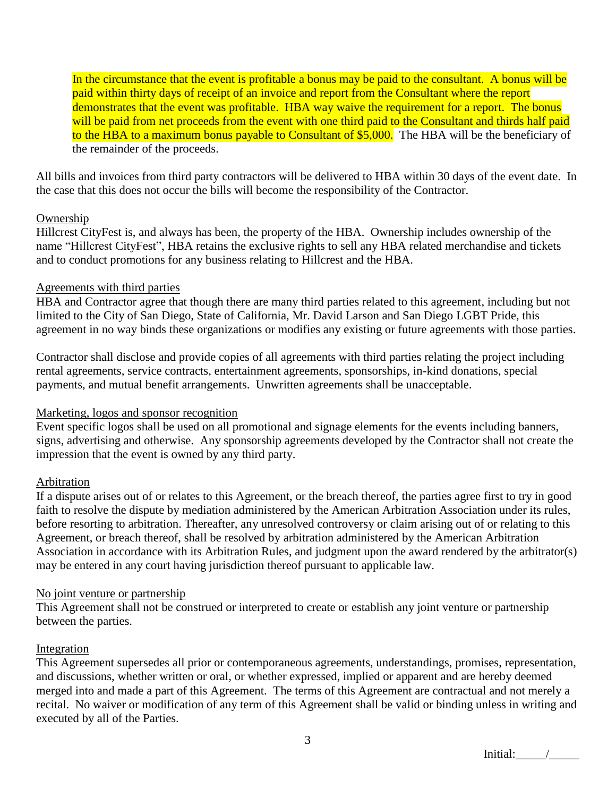In the circumstance that the event is profitable a bonus may be paid to the consultant. A bonus will be paid within thirty days of receipt of an invoice and report from the Consultant where the report demonstrates that the event was profitable. HBA way waive the requirement for a report. The bonus will be paid from net proceeds from the event with one third paid to the Consultant and thirds half paid to the HBA to a maximum bonus payable to Consultant of \$5,000. The HBA will be the beneficiary of the remainder of the proceeds.

All bills and invoices from third party contractors will be delivered to HBA within 30 days of the event date. In the case that this does not occur the bills will become the responsibility of the Contractor.

## **Ownership**

Hillcrest CityFest is, and always has been, the property of the HBA. Ownership includes ownership of the name "Hillcrest CityFest", HBA retains the exclusive rights to sell any HBA related merchandise and tickets and to conduct promotions for any business relating to Hillcrest and the HBA.

## Agreements with third parties

HBA and Contractor agree that though there are many third parties related to this agreement, including but not limited to the City of San Diego, State of California, Mr. David Larson and San Diego LGBT Pride, this agreement in no way binds these organizations or modifies any existing or future agreements with those parties.

Contractor shall disclose and provide copies of all agreements with third parties relating the project including rental agreements, service contracts, entertainment agreements, sponsorships, in-kind donations, special payments, and mutual benefit arrangements. Unwritten agreements shall be unacceptable.

## Marketing, logos and sponsor recognition

Event specific logos shall be used on all promotional and signage elements for the events including banners, signs, advertising and otherwise. Any sponsorship agreements developed by the Contractor shall not create the impression that the event is owned by any third party.

## Arbitration

If a dispute arises out of or relates to this Agreement, or the breach thereof, the parties agree first to try in good faith to resolve the dispute by mediation administered by the American Arbitration Association under its rules, before resorting to arbitration. Thereafter, any unresolved controversy or claim arising out of or relating to this Agreement, or breach thereof, shall be resolved by arbitration administered by the American Arbitration Association in accordance with its Arbitration Rules, and judgment upon the award rendered by the arbitrator(s) may be entered in any court having jurisdiction thereof pursuant to applicable law.

## No joint venture or partnership

This Agreement shall not be construed or interpreted to create or establish any joint venture or partnership between the parties.

## Integration

This Agreement supersedes all prior or contemporaneous agreements, understandings, promises, representation, and discussions, whether written or oral, or whether expressed, implied or apparent and are hereby deemed merged into and made a part of this Agreement. The terms of this Agreement are contractual and not merely a recital. No waiver or modification of any term of this Agreement shall be valid or binding unless in writing and executed by all of the Parties.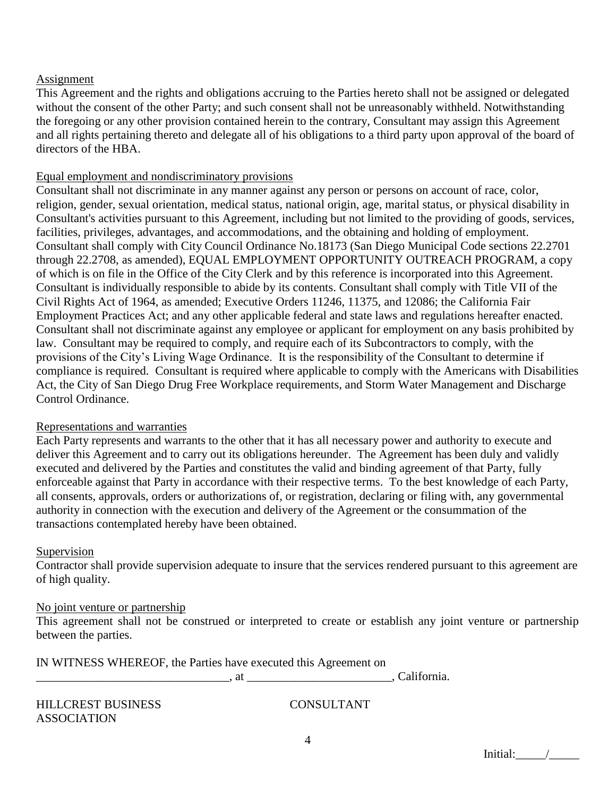## Assignment

This Agreement and the rights and obligations accruing to the Parties hereto shall not be assigned or delegated without the consent of the other Party; and such consent shall not be unreasonably withheld. Notwithstanding the foregoing or any other provision contained herein to the contrary, Consultant may assign this Agreement and all rights pertaining thereto and delegate all of his obligations to a third party upon approval of the board of directors of the HBA.

## Equal employment and nondiscriminatory provisions

Consultant shall not discriminate in any manner against any person or persons on account of race, color, religion, gender, sexual orientation, medical status, national origin, age, marital status, or physical disability in Consultant's activities pursuant to this Agreement, including but not limited to the providing of goods, services, facilities, privileges, advantages, and accommodations, and the obtaining and holding of employment. Consultant shall comply with City Council Ordinance No.18173 (San Diego Municipal Code sections 22.2701 through 22.2708, as amended), EQUAL EMPLOYMENT OPPORTUNITY OUTREACH PROGRAM, a copy of which is on file in the Office of the City Clerk and by this reference is incorporated into this Agreement. Consultant is individually responsible to abide by its contents. Consultant shall comply with Title VII of the Civil Rights Act of 1964, as amended; Executive Orders 11246, 11375, and 12086; the California Fair Employment Practices Act; and any other applicable federal and state laws and regulations hereafter enacted. Consultant shall not discriminate against any employee or applicant for employment on any basis prohibited by law. Consultant may be required to comply, and require each of its Subcontractors to comply, with the provisions of the City"s Living Wage Ordinance. It is the responsibility of the Consultant to determine if compliance is required. Consultant is required where applicable to comply with the Americans with Disabilities Act, the City of San Diego Drug Free Workplace requirements, and Storm Water Management and Discharge Control Ordinance.

## Representations and warranties

Each Party represents and warrants to the other that it has all necessary power and authority to execute and deliver this Agreement and to carry out its obligations hereunder. The Agreement has been duly and validly executed and delivered by the Parties and constitutes the valid and binding agreement of that Party, fully enforceable against that Party in accordance with their respective terms. To the best knowledge of each Party, all consents, approvals, orders or authorizations of, or registration, declaring or filing with, any governmental authority in connection with the execution and delivery of the Agreement or the consummation of the transactions contemplated hereby have been obtained.

## Supervision

Contractor shall provide supervision adequate to insure that the services rendered pursuant to this agreement are of high quality.

## No joint venture or partnership

This agreement shall not be construed or interpreted to create or establish any joint venture or partnership between the parties.

| IN WITNESS WHEREOF, the Parties have executed this Agreement on |  |  |
|-----------------------------------------------------------------|--|--|
|-----------------------------------------------------------------|--|--|

\_\_\_\_\_\_\_\_\_\_\_\_\_\_\_\_\_\_\_\_\_\_\_\_\_\_\_\_\_\_\_\_, at \_\_\_\_\_\_\_\_\_\_\_\_\_\_\_\_\_\_\_\_\_\_\_\_, California.

| <b>HILLCREST BUSINESS</b> |
|---------------------------|
| ASSOCIATION               |

CONSULTANT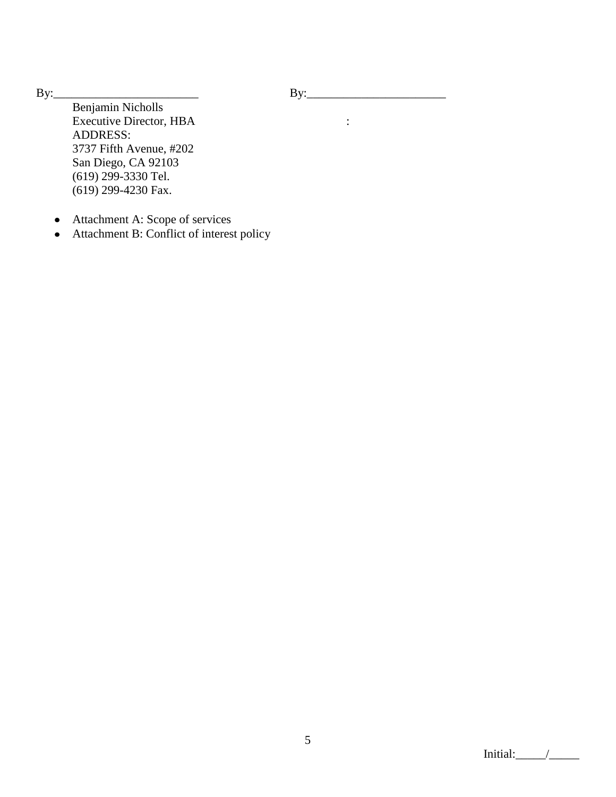By:\_\_\_\_\_\_\_\_\_\_\_\_\_\_\_\_\_\_\_\_\_\_\_\_ By:\_\_\_\_\_\_\_\_\_\_\_\_\_\_\_\_\_\_\_\_\_\_\_

Benjamin Nicholls Executive Director, HBA : ADDRESS: 3737 Fifth Avenue, #202 San Diego, CA 92103 (619) 299-3330 Tel. (619) 299-4230 Fax.

- Attachment A: Scope of services
- Attachment B: Conflict of interest policy

Initial: $\frac{1}{\sqrt{2\pi}}$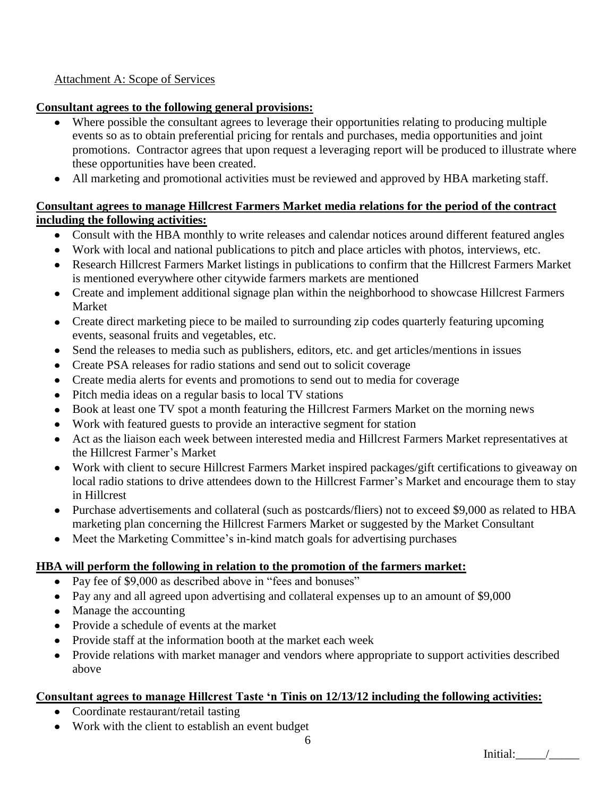## Attachment A: Scope of Services

## **Consultant agrees to the following general provisions:**

- Where possible the consultant agrees to leverage their opportunities relating to producing multiple events so as to obtain preferential pricing for rentals and purchases, media opportunities and joint promotions. Contractor agrees that upon request a leveraging report will be produced to illustrate where these opportunities have been created.
- All marketing and promotional activities must be reviewed and approved by HBA marketing staff.

## **Consultant agrees to manage Hillcrest Farmers Market media relations for the period of the contract including the following activities:**

- Consult with the HBA monthly to write releases and calendar notices around different featured angles
- Work with local and national publications to pitch and place articles with photos, interviews, etc.
- Research Hillcrest Farmers Market listings in publications to confirm that the Hillcrest Farmers Market is mentioned everywhere other citywide farmers markets are mentioned
- Create and implement additional signage plan within the neighborhood to showcase Hillcrest Farmers Market
- Create direct marketing piece to be mailed to surrounding zip codes quarterly featuring upcoming events, seasonal fruits and vegetables, etc.
- Send the releases to media such as publishers, editors, etc. and get articles/mentions in issues
- Create PSA releases for radio stations and send out to solicit coverage
- Create media alerts for events and promotions to send out to media for coverage
- Pitch media ideas on a regular basis to local TV stations
- Book at least one TV spot a month featuring the Hillcrest Farmers Market on the morning news
- Work with featured guests to provide an interactive segment for station
- Act as the liaison each week between interested media and Hillcrest Farmers Market representatives at  $\bullet$ the Hillcrest Farmer"s Market
- Work with client to secure Hillcrest Farmers Market inspired packages/gift certifications to giveaway on local radio stations to drive attendees down to the Hillcrest Farmer's Market and encourage them to stay in Hillcrest
- Purchase advertisements and collateral (such as postcards/fliers) not to exceed \$9,000 as related to HBA marketing plan concerning the Hillcrest Farmers Market or suggested by the Market Consultant
- Meet the Marketing Committee's in-kind match goals for advertising purchases

## **HBA will perform the following in relation to the promotion of the farmers market:**

- Pay fee of \$9,000 as described above in "fees and bonuses"
- Pay any and all agreed upon advertising and collateral expenses up to an amount of \$9,000
- Manage the accounting
- Provide a schedule of events at the market
- Provide staff at the information booth at the market each week
- Provide relations with market manager and vendors where appropriate to support activities described  $\bullet$ above

## **Consultant agrees to manage Hillcrest Taste 'n Tinis on 12/13/12 including the following activities:**

- Coordinate restaurant/retail tasting
- Work with the client to establish an event budget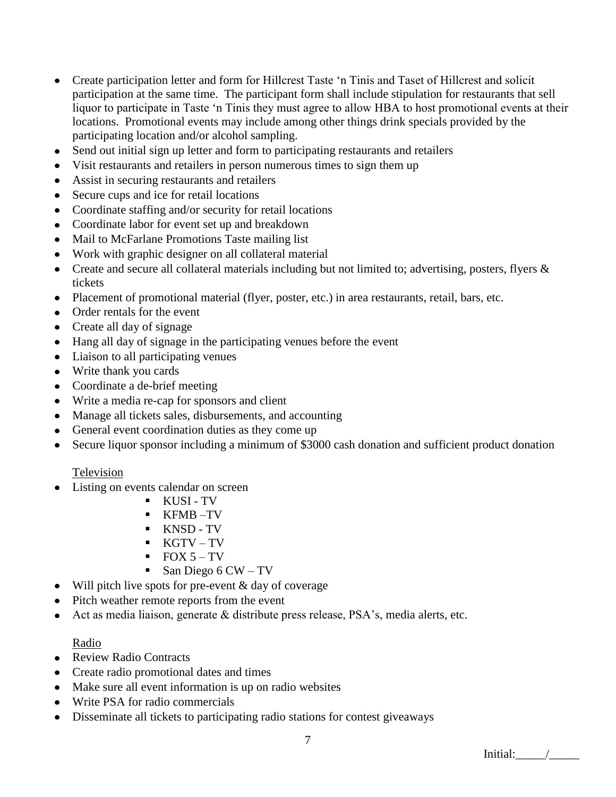- Create participation letter and form for Hillcrest Taste "n Tinis and Taset of Hillcrest and solicit  $\bullet$ participation at the same time. The participant form shall include stipulation for restaurants that sell liquor to participate in Taste "n Tinis they must agree to allow HBA to host promotional events at their locations. Promotional events may include among other things drink specials provided by the participating location and/or alcohol sampling.
- Send out initial sign up letter and form to participating restaurants and retailers  $\bullet$
- Visit restaurants and retailers in person numerous times to sign them up  $\bullet$
- Assist in securing restaurants and retailers
- Secure cups and ice for retail locations
- Coordinate staffing and/or security for retail locations
- Coordinate labor for event set up and breakdown
- Mail to McFarlane Promotions Taste mailing list
- Work with graphic designer on all collateral material
- Create and secure all collateral materials including but not limited to; advertising, posters, flyers & tickets
- Placement of promotional material (flyer, poster, etc.) in area restaurants, retail, bars, etc.
- Order rentals for the event
- Create all day of signage
- Hang all day of signage in the participating venues before the event
- Liaison to all participating venues
- Write thank you cards
- Coordinate a de-brief meeting
- Write a media re-cap for sponsors and client
- Manage all tickets sales, disbursements, and accounting
- General event coordination duties as they come up
- Secure liquor sponsor including a minimum of \$3000 cash donation and sufficient product donation

## Television

- Listing on events calendar on screen
	- KUSI TV
	- KFMB –TV
	- **KNSD-TV**
	- KGTV TV
	- $\blacksquare$  FOX 5 TV
	- $\blacksquare$  San Diego 6 CW TV
- $\bullet$  Will pitch live spots for pre-event & day of coverage
- Pitch weather remote reports from the event
- Act as media liaison, generate & distribute press release, PSA"s, media alerts, etc.

## Radio

- Review Radio Contracts
- Create radio promotional dates and times
- Make sure all event information is up on radio websites
- Write PSA for radio commercials
- Disseminate all tickets to participating radio stations for contest giveaways $\bullet$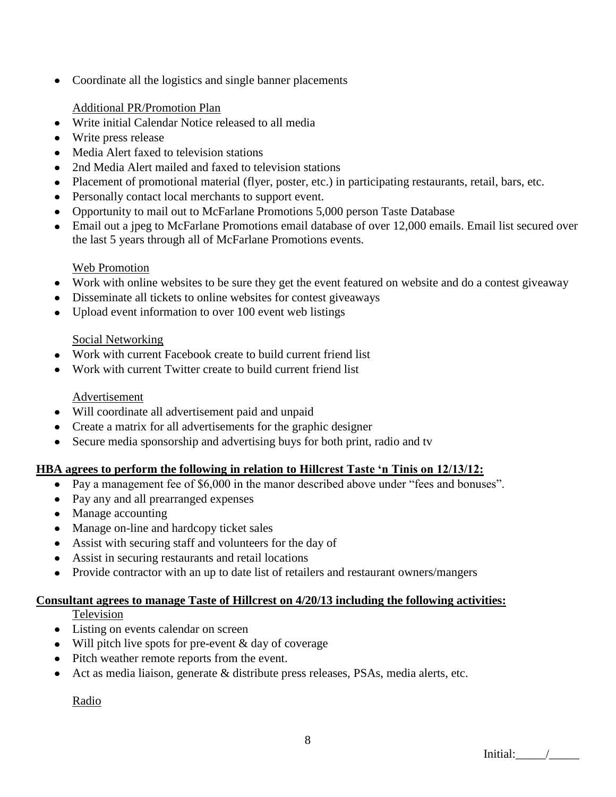• Coordinate all the logistics and single banner placements

## Additional PR/Promotion Plan

- Write initial Calendar Notice released to all media
- Write press release
- Media Alert faxed to television stations
- 2nd Media Alert mailed and faxed to television stations
- Placement of promotional material (flyer, poster, etc.) in participating restaurants, retail, bars, etc.
- Personally contact local merchants to support event.
- Opportunity to mail out to McFarlane Promotions 5,000 person Taste Database
- Email out a jpeg to McFarlane Promotions email database of over 12,000 emails. Email list secured over the last 5 years through all of McFarlane Promotions events.

## Web Promotion

- Work with online websites to be sure they get the event featured on website and do a contest giveaway
- Disseminate all tickets to online websites for contest giveaways
- Upload event information to over 100 event web listings

## Social Networking

- Work with current Facebook create to build current friend list
- Work with current Twitter create to build current friend list

## Advertisement

- Will coordinate all advertisement paid and unpaid
- Create a matrix for all advertisements for the graphic designer
- Secure media sponsorship and advertising buys for both print, radio and tv

## **HBA agrees to perform the following in relation to Hillcrest Taste 'n Tinis on 12/13/12:**

- Pay a management fee of \$6,000 in the manor described above under "fees and bonuses".
- Pay any and all prearranged expenses
- Manage accounting
- Manage on-line and hardcopy ticket sales
- Assist with securing staff and volunteers for the day of
- Assist in securing restaurants and retail locations
- Provide contractor with an up to date list of retailers and restaurant owners/mangers

# **Consultant agrees to manage Taste of Hillcrest on 4/20/13 including the following activities:**

**Television** 

- Listing on events calendar on screen
- $\bullet$  Will pitch live spots for pre-event & day of coverage
- Pitch weather remote reports from the event.
- Act as media liaison, generate & distribute press releases, PSAs, media alerts, etc.

Radio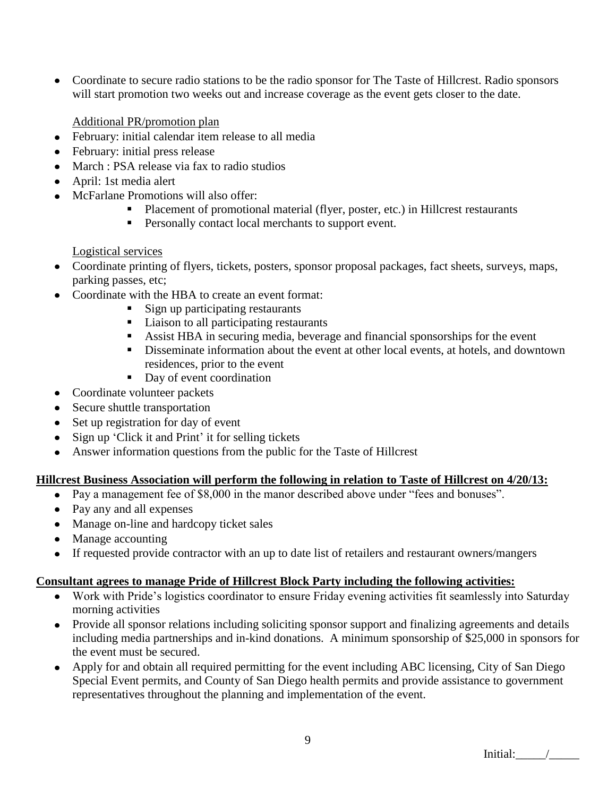Coordinate to secure radio stations to be the radio sponsor for The Taste of Hillcrest. Radio sponsors will start promotion two weeks out and increase coverage as the event gets closer to the date.

Additional PR/promotion plan

- February: initial calendar item release to all media
- February: initial press release
- March : PSA release via fax to radio studios
- April: 1st media alert
- McFarlane Promotions will also offer:  $\bullet$ 
	- Placement of promotional material (flyer, poster, etc.) in Hillcrest restaurants
	- **Personally contact local merchants to support event.**

## Logistical services

- Coordinate printing of flyers, tickets, posters, sponsor proposal packages, fact sheets, surveys, maps, parking passes, etc;
- Coordinate with the HBA to create an event format:
	- Sign up participating restaurants
	- Liaison to all participating restaurants
	- Assist HBA in securing media, beverage and financial sponsorships for the event
	- Disseminate information about the event at other local events, at hotels, and downtown residences, prior to the event
	- Day of event coordination
- Coordinate volunteer packets
- Secure shuttle transportation
- Set up registration for day of event
- Sign up 'Click it and Print' it for selling tickets
- Answer information questions from the public for the Taste of Hillcrest

## **Hillcrest Business Association will perform the following in relation to Taste of Hillcrest on 4/20/13:**

- Pay a management fee of \$8,000 in the manor described above under "fees and bonuses".
- Pay any and all expenses
- Manage on-line and hardcopy ticket sales
- Manage accounting
- If requested provide contractor with an up to date list of retailers and restaurant owners/mangers

## **Consultant agrees to manage Pride of Hillcrest Block Party including the following activities:**

- Work with Pride"s logistics coordinator to ensure Friday evening activities fit seamlessly into Saturday morning activities
- Provide all sponsor relations including soliciting sponsor support and finalizing agreements and details including media partnerships and in-kind donations. A minimum sponsorship of \$25,000 in sponsors for the event must be secured.
- Apply for and obtain all required permitting for the event including ABC licensing, City of San Diego  $\bullet$ Special Event permits, and County of San Diego health permits and provide assistance to government representatives throughout the planning and implementation of the event.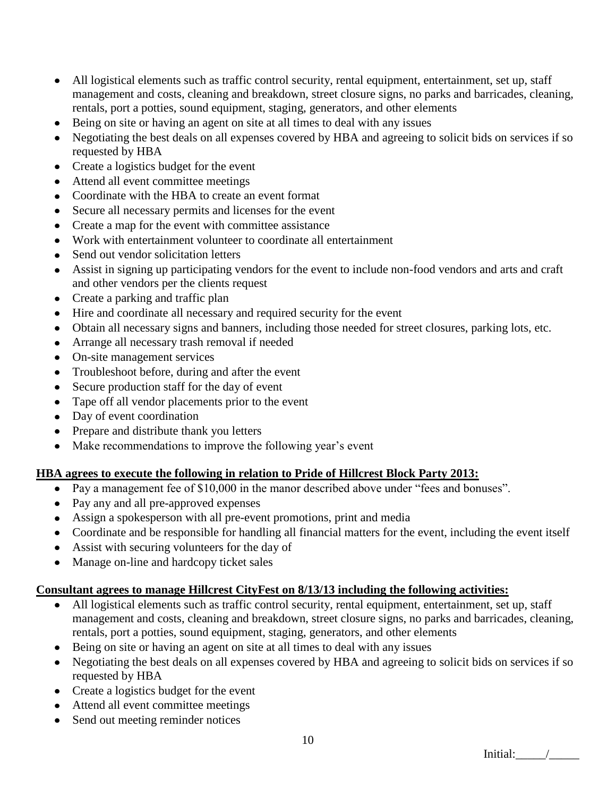- All logistical elements such as traffic control security, rental equipment, entertainment, set up, staff  $\bullet$ management and costs, cleaning and breakdown, street closure signs, no parks and barricades, cleaning, rentals, port a potties, sound equipment, staging, generators, and other elements
- Being on site or having an agent on site at all times to deal with any issues  $\bullet$
- Negotiating the best deals on all expenses covered by HBA and agreeing to solicit bids on services if so requested by HBA
- Create a logistics budget for the event
- Attend all event committee meetings
- Coordinate with the HBA to create an event format
- Secure all necessary permits and licenses for the event
- Create a map for the event with committee assistance
- Work with entertainment volunteer to coordinate all entertainment  $\bullet$
- Send out vendor solicitation letters
- Assist in signing up participating vendors for the event to include non-food vendors and arts and craft and other vendors per the clients request
- Create a parking and traffic plan  $\bullet$
- Hire and coordinate all necessary and required security for the event
- Obtain all necessary signs and banners, including those needed for street closures, parking lots, etc.
- Arrange all necessary trash removal if needed
- On-site management services
- Troubleshoot before, during and after the event
- Secure production staff for the day of event  $\bullet$
- Tape off all vendor placements prior to the event  $\bullet$
- Day of event coordination
- Prepare and distribute thank you letters
- Make recommendations to improve the following year's event  $\bullet$

## **HBA agrees to execute the following in relation to Pride of Hillcrest Block Party 2013:**

- Pay a management fee of \$10,000 in the manor described above under "fees and bonuses".
- Pay any and all pre-approved expenses
- Assign a spokesperson with all pre-event promotions, print and media
- Coordinate and be responsible for handling all financial matters for the event, including the event itself
- Assist with securing volunteers for the day of
- Manage on-line and hardcopy ticket sales

## **Consultant agrees to manage Hillcrest CityFest on 8/13/13 including the following activities:**

- All logistical elements such as traffic control security, rental equipment, entertainment, set up, staff management and costs, cleaning and breakdown, street closure signs, no parks and barricades, cleaning, rentals, port a potties, sound equipment, staging, generators, and other elements
- Being on site or having an agent on site at all times to deal with any issues
- Negotiating the best deals on all expenses covered by HBA and agreeing to solicit bids on services if so requested by HBA
- Create a logistics budget for the event
- Attend all event committee meetings
- Send out meeting reminder notices